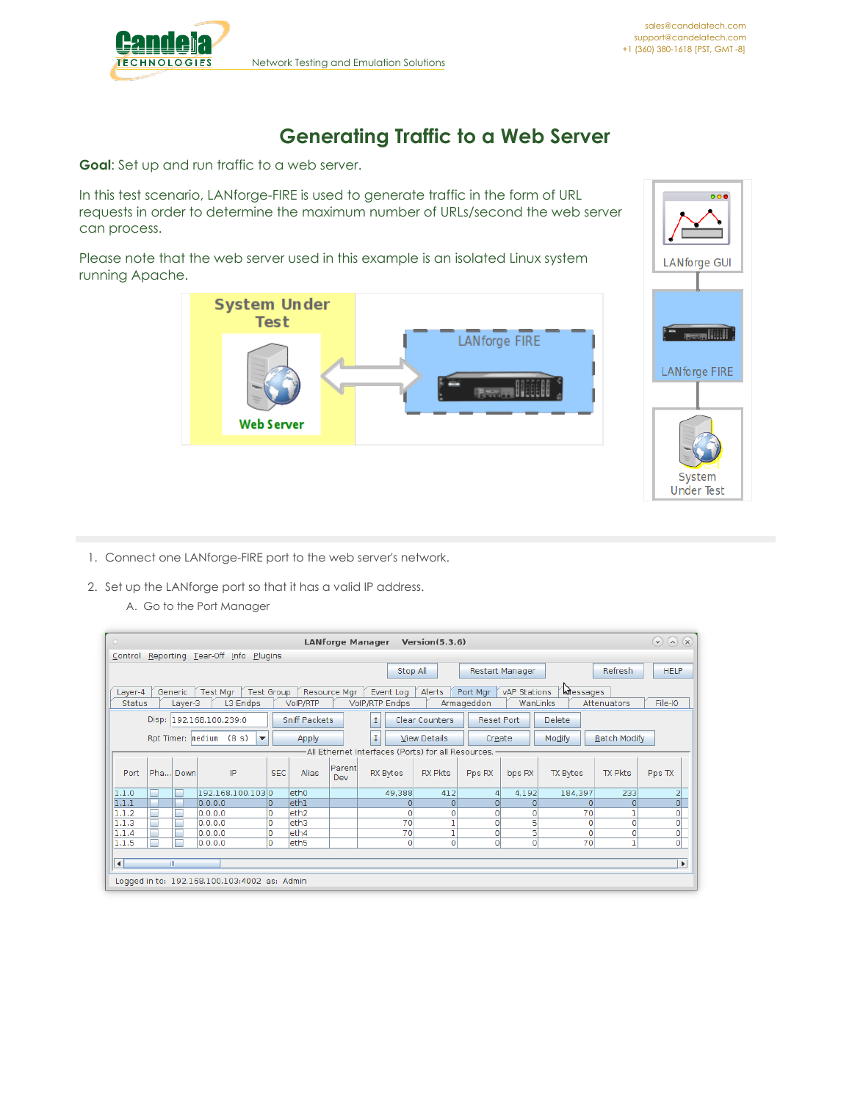

## **Generating Traffic to a Web Server**

**Goal**: Set up and run traffic to a web server.

In this test scenario, LANforge-FIRE is used to generate traffic in the form of URL requests in order to determine the maximum number of URLs/second the web server can process.

Please note that the web server used in this example is an isolated Linux system running Apache.





- 1. Connect one LANforge-FIRE port to the web server's network.
- 2. Set up the LANforge port so that it has a valid IP address.
	- A. Go to the Port Manager

| $\bullet$              | $\odot$ (a)<br>(x)<br><b>LANforge Manager</b><br>Version(5.3.6)                                                                       |         |         |                                              |            |                           |               |                                                    |                |                         |              |          |                |                      |
|------------------------|---------------------------------------------------------------------------------------------------------------------------------------|---------|---------|----------------------------------------------|------------|---------------------------|---------------|----------------------------------------------------|----------------|-------------------------|--------------|----------|----------------|----------------------|
| Control                | Reporting Tear-Off Info<br>Plugins                                                                                                    |         |         |                                              |            |                           |               |                                                    |                |                         |              |          |                |                      |
|                        | <b>HELP</b><br>Stop All<br>Refresh<br>Restart Manager                                                                                 |         |         |                                              |            |                           |               |                                                    |                |                         |              |          |                |                      |
|                        | wessages<br>Port Mgr<br>vAP Stations<br>Test Mgr<br>Test Group<br>Resource Mgr<br>Alerts<br>Layer-4<br>Generic<br>Event Log           |         |         |                                              |            |                           |               |                                                    |                |                         |              |          |                |                      |
| <b>Status</b>          |                                                                                                                                       | Layer-3 |         | L3 Endps                                     |            | VoIP/RTP                  |               | <b>VolP/RTP Endps</b>                              |                | Armageddon              | WanLinks     |          | Attenuators    | File-IO              |
|                        | Disp: 192.168.100.239:0<br>Sniff Packets<br>Clear Counters<br>Delete<br><b>Reset Port</b><br>1                                        |         |         |                                              |            |                           |               |                                                    |                |                         |              |          |                |                      |
|                        | Rpt Timer:   medium (8 s)<br>τ<br>Modify<br><b>Batch Modify</b><br><b>View Details</b><br>$\overline{\phantom{a}}$<br>Apply<br>Create |         |         |                                              |            |                           |               |                                                    |                |                         |              |          |                |                      |
|                        |                                                                                                                                       |         |         |                                              |            |                           |               | All Ethernet Interfaces (Ports) for all Resources. |                |                         |              |          |                |                      |
| Port                   | Pha Down                                                                                                                              |         |         | IP                                           | <b>SEC</b> | Alias                     | Parent<br>Dev | RX Bytes                                           | <b>RX Pkts</b> | Pps RX                  | bps RX       | TX Bytes | <b>TX Pkts</b> | Pps TX               |
| 1.1.0                  |                                                                                                                                       |         |         | 192.168.100.1030                             |            | eth <sub>0</sub>          |               | 49,388                                             | 412            | 4                       | 4.192        | 184,397  | 233            | $\frac{2}{0}$        |
| 1.1.1                  |                                                                                                                                       |         | 0.0.0.0 |                                              | 0          | ethl                      |               | $\Omega$                                           | 0              |                         | $\Omega$     | ΩI       | $\circ$        |                      |
| 1.1.2                  |                                                                                                                                       |         | 0.0.0.0 |                                              | O          | eth <sub>2</sub>          |               | $\circ$                                            | ٥              | $\Omega$                | $\circ$      | 70       |                | o                    |
| 1.1.3                  |                                                                                                                                       |         | 0.0.0.0 |                                              | O          | leth3                     |               | 70                                                 |                | $\mathbf{O}$            | 5            | 0        | 0              |                      |
| 1.1.4                  |                                                                                                                                       |         | 0.0.0.0 |                                              | O          | leth4<br>eth <sub>5</sub> |               | 70                                                 |                | $\circ$<br>$\mathbf{0}$ | 5<br>$\circ$ | 0<br>70  | 0<br>ı         | $\frac{1}{\sqrt{2}}$ |
| 1.1.5                  |                                                                                                                                       |         | 0.0.0.0 |                                              | O          |                           |               | $\circ$                                            | ٥              |                         |              |          |                |                      |
| $\left  \cdot \right $ | Ш                                                                                                                                     |         |         |                                              |            |                           |               |                                                    |                |                         |              |          |                | Þ                    |
|                        |                                                                                                                                       |         |         | Logged in to: 192.168.100.103:4002 as: Admin |            |                           |               |                                                    |                |                         |              |          |                |                      |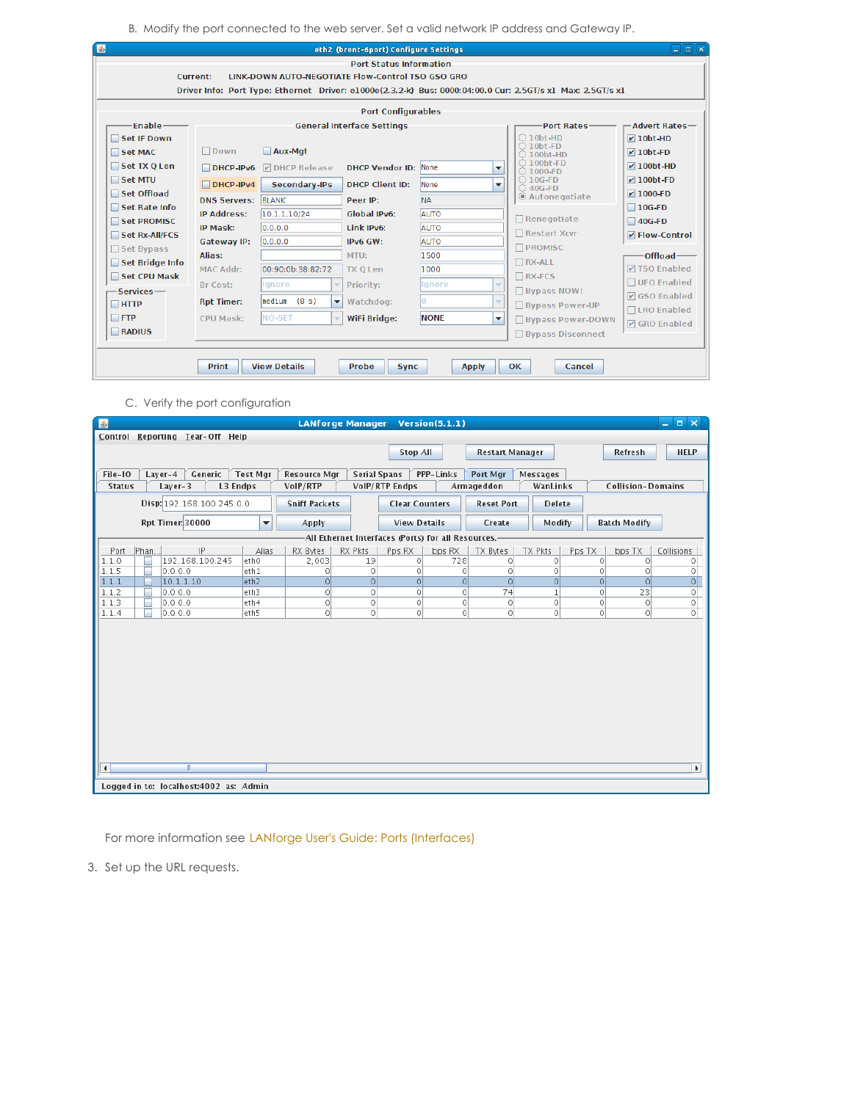B. Modify the port connected to the web server. Set a valid network IP address and Gateway IP.

|                                                                                                            |                                                      |                                            | eth2 (brent-6port) Configure Settings |             |                          |                                           | 口回风                                  |  |  |  |  |
|------------------------------------------------------------------------------------------------------------|------------------------------------------------------|--------------------------------------------|---------------------------------------|-------------|--------------------------|-------------------------------------------|--------------------------------------|--|--|--|--|
| <b>Port Status Information</b>                                                                             |                                                      |                                            |                                       |             |                          |                                           |                                      |  |  |  |  |
| <b>Current:</b><br>LINK-DOWN AUTO-NEGOTIATE Flow-Control TSO GSO GRO                                       |                                                      |                                            |                                       |             |                          |                                           |                                      |  |  |  |  |
| Driver Info: Port Type: Ethernet Driver: e1000e(2.3.2-k) Bus: 0000:04:00.0 Cur: 2.5GT/s x1 Max: 2.5GT/s x1 |                                                      |                                            |                                       |             |                          |                                           |                                      |  |  |  |  |
| <b>Port Configurables</b>                                                                                  |                                                      |                                            |                                       |             |                          |                                           |                                      |  |  |  |  |
| Enable-                                                                                                    |                                                      |                                            | <b>General Interface Settings</b>     |             |                          | <b>Port Rates-</b>                        | $-$ Advert Rates $-$                 |  |  |  |  |
| Set IF Down                                                                                                |                                                      |                                            |                                       |             |                          | $\bigcirc$ 10bt-HD                        | $\nu$ 10bt-HD                        |  |  |  |  |
| Set MAC                                                                                                    | $\Box$ Down                                          | Aux-Mqt                                    |                                       |             |                          | $\bigcirc$ 10bt-FD<br>$\bigcirc$ 100bt-HD | $V$ 10bt-FD                          |  |  |  |  |
| Set TX O Len                                                                                               | DHCP-IPv6                                            | <b>DIDHCP Release</b>                      | <b>DHCP Vendor ID: None</b>           |             | $\overline{\phantom{a}}$ | $\bigcirc$ 100bt-FD<br>$\bigcirc$ 1000-FD | $\nu$ 100bt-HD                       |  |  |  |  |
| Set MTU                                                                                                    | $\Box$ DHCP-IPv4                                     | <b>Secondary-IPs</b>                       | <b>DHCP Client ID:</b>                | <b>None</b> | $\overline{\phantom{a}}$ | $\bigcirc$ 10G-FD<br>$\bigcirc$ 40G-FD    | $\nu$ 100bt-FD                       |  |  |  |  |
| Set Offload                                                                                                | <b>DNS Servers: BLANK</b>                            |                                            | Peer IP:                              | <b>NA</b>   |                          | C Autonegotiate                           | $V$ 1000-FD                          |  |  |  |  |
| Set Rate Info                                                                                              | <b>IP Address:</b><br><b>IP Mask:</b><br>Gateway IP: | 10.1.1.10/24                               | <b>Global IPv6:</b>                   | <b>AUTO</b> |                          |                                           | $\Box$ 10G-FD                        |  |  |  |  |
| Set PROMISC                                                                                                |                                                      | 0.0.0.0                                    | Link IPv6:                            | <b>AUTO</b> |                          | $\Box$ Renegotiate                        | $\Box$ 40G-FD                        |  |  |  |  |
| Set Rx-All/FCS                                                                                             |                                                      | 0.0.0.0                                    | IPv6 GW:                              | <b>AUTO</b> |                          | □ Restart Xcvr                            | $V$ Flow-Control                     |  |  |  |  |
| $\Box$ Set Bypass                                                                                          | Alias:                                               |                                            | MTU:                                  | 1500        |                          | <b>N</b> PROMISC                          | -Offload-                            |  |  |  |  |
| Set Bridge Info                                                                                            | <b>MAC Addr:</b>                                     | 00:90:0b:38:82:72                          |                                       | 1000        |                          | $\Box$ RX-ALL                             | <b>DISO Enabled</b>                  |  |  |  |  |
| Set CPU Mask                                                                                               |                                                      |                                            | <b>TX O Len</b>                       |             |                          | $\Box$ RX-FCS                             | □ UFO Enabled                        |  |  |  |  |
| -Services-                                                                                                 | Br Cost:                                             | lignore                                    | Priority:                             | Ignore      | $\overline{\phantom{a}}$ | <b>Bypass NOW!</b>                        |                                      |  |  |  |  |
| $\Box$ HTTP                                                                                                | <b>Rpt Timer:</b>                                    | medium<br>(8 s)<br>$\overline{\mathbf{v}}$ | Watchdog:                             | Ю           | $\overline{\phantom{a}}$ | <b>Bypass Power-UP</b>                    | $\nabla$ GSO Enabled                 |  |  |  |  |
| $\Box$ FTP                                                                                                 | CPU Mask:                                            | <b>NO-SET</b><br>٠                         | WiFi Bridge:                          | <b>NONE</b> | $\blacktriangledown$     | <b>Bypass Power-DOWN</b>                  | □LRO Enabled<br><b>☑</b> GRO Enabled |  |  |  |  |
| RADIUS                                                                                                     |                                                      |                                            |                                       |             |                          | □ Bypass Disconnect                       |                                      |  |  |  |  |
|                                                                                                            |                                                      |                                            |                                       |             |                          |                                           |                                      |  |  |  |  |
| <b>Print</b><br><b>View Details</b><br>Probe<br><b>OK</b><br>Cancel<br><b>Sync</b><br><b>Apply</b>         |                                                      |                                            |                                       |             |                          |                                           |                                      |  |  |  |  |

C. Verify the port configuration

| 图             |                                        |                      | <b>LANforge Manager</b> |                     |                                                      | Version(5.1.1)      |                                    |                  |          |                          | $  \times$            |  |
|---------------|----------------------------------------|----------------------|-------------------------|---------------------|------------------------------------------------------|---------------------|------------------------------------|------------------|----------|--------------------------|-----------------------|--|
|               | Control Reporting Tear-Off Help        |                      |                         |                     |                                                      |                     |                                    |                  |          |                          |                       |  |
|               |                                        |                      |                         |                     | <b>Stop All</b>                                      |                     | Restart Manager                    |                  |          | Refresh                  | <b>HELP</b>           |  |
|               |                                        |                      |                         |                     |                                                      |                     |                                    |                  |          |                          |                       |  |
| File-IO       | Layer-4<br>Generic                     | <b>Test Mgr</b>      | <b>Resource Mar</b>     | <b>Serial Spans</b> |                                                      | PPP-Links           | Port Mgr                           | Messages         |          |                          |                       |  |
| <b>Status</b> | $Layer-3$<br>L3 Endps                  |                      | VoIP/RTP                |                     | VoIP/RTP Endps                                       | Armageddon          |                                    | WanLinks         |          | <b>Collision-Domains</b> |                       |  |
|               | Disp: 192.168.100.245:0.0              |                      | <b>Sniff Packets</b>    |                     | <b>Clear Counters</b>                                |                     | <b>Reset Port</b><br><b>Delete</b> |                  |          |                          |                       |  |
|               | Rpt Timer: 30000                       | $\blacktriangledown$ | Apply                   |                     |                                                      | <b>View Details</b> |                                    | Modify<br>Create |          | <b>Batch Modify</b>      |                       |  |
|               |                                        |                      |                         |                     | -All Ethernet Interfaces (Ports) for all Resources.- |                     |                                    |                  |          |                          |                       |  |
| Port          | Phan<br>IP                             | Alias                | RX Bytes                | RX Pkts             | Pps RX                                               | bps RX              | TX Bytes                           | TX Pkts          | Pps TX   | bps TX                   | Collisions            |  |
| 1.1.0         | 192.168.100.245                        | ethO                 | 2,003                   | 19                  | $\Omega$                                             | 728                 | $\Omega$                           | $\Omega$         | $\Omega$ | ٥l                       | 0                     |  |
| 1.1.5         | 0.0.0.0                                | eth1                 | 0                       | 0                   | $\circ$                                              | $\circ$             | 0                                  | $\Omega$         | $\Omega$ | $\circ$                  | 0                     |  |
| 1.1.1         | 10.1.1.10                              | eth <sub>2</sub>     | $\circ$                 | $\circ$             | $\Omega$                                             | $\circ$             | $\Omega$                           | 0                | $\Omega$ | $\Omega$                 | $\circ$               |  |
| 1.1.2         | 0.0.0.0                                | eth3                 | 0                       | O                   | $\circ$                                              | $\circ$             | 74                                 | $\mathbf{1}$     | $\circ$  | 23                       | $\circ$               |  |
| 1.1.3         | 0.0.0.0                                | leth4                | $\circ$                 | $\circ$             | $\circ$                                              | $\circ$             | $\circ$                            | $\circ$          | $\circ$  | $\circ$                  | 0                     |  |
| 1.1.4         | 0.0.0.0                                | eth5                 | $\circ$                 | $\circ$             | $\circ$                                              | $\circ$             | $\circ$                            | $\circ$          | $\circ$  | $\circ$                  | 0                     |  |
|               |                                        |                      |                         |                     |                                                      |                     |                                    |                  |          |                          |                       |  |
|               |                                        |                      |                         |                     |                                                      |                     |                                    |                  |          |                          |                       |  |
|               |                                        |                      |                         |                     |                                                      |                     |                                    |                  |          |                          |                       |  |
|               |                                        |                      |                         |                     |                                                      |                     |                                    |                  |          |                          |                       |  |
|               |                                        |                      |                         |                     |                                                      |                     |                                    |                  |          |                          |                       |  |
|               |                                        |                      |                         |                     |                                                      |                     |                                    |                  |          |                          |                       |  |
|               |                                        |                      |                         |                     |                                                      |                     |                                    |                  |          |                          |                       |  |
|               |                                        |                      |                         |                     |                                                      |                     |                                    |                  |          |                          |                       |  |
|               |                                        |                      |                         |                     |                                                      |                     |                                    |                  |          |                          |                       |  |
|               |                                        |                      |                         |                     |                                                      |                     |                                    |                  |          |                          |                       |  |
|               |                                        |                      |                         |                     |                                                      |                     |                                    |                  |          |                          |                       |  |
|               |                                        |                      |                         |                     |                                                      |                     |                                    |                  |          |                          |                       |  |
| ı<br>◥        | Ш                                      |                      |                         |                     |                                                      |                     |                                    |                  |          |                          | $\blacktriangleright$ |  |
|               |                                        |                      |                         |                     |                                                      |                     |                                    |                  |          |                          |                       |  |
|               | Logged in to: localhost:4002 as: Admin |                      |                         |                     |                                                      |                     |                                    |                  |          |                          |                       |  |

For more information see LANforge User's Guide: Ports [\(Interfaces\)](http://www.candelatech.com/lfgui_ug.php#port)

3. Set up the URL requests.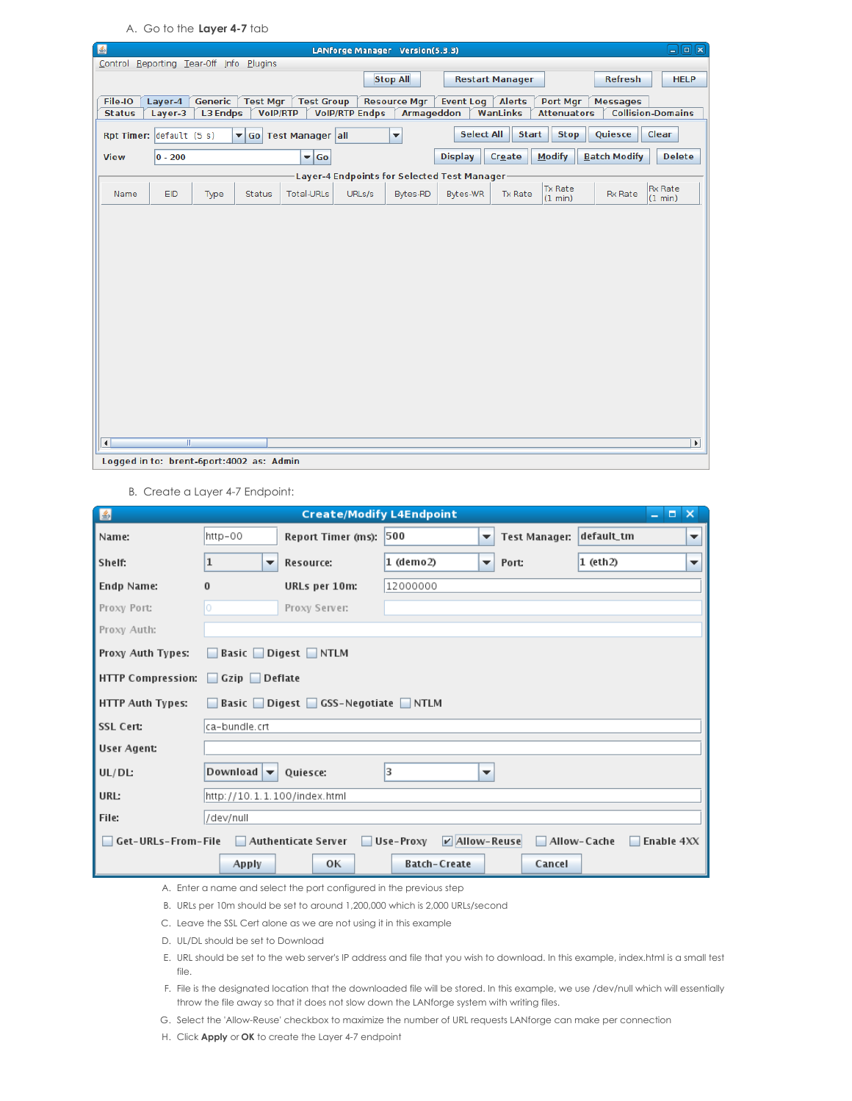A. Go to the **Layer 4-7** tab

| 图                                         | $\Box$ e $\bm{\kappa}$<br>LANforge Manager Version(5.3.3)                                                                                                   |         |                 |                         |        |                     |                                                                |                        |                           |                     |                           |
|-------------------------------------------|-------------------------------------------------------------------------------------------------------------------------------------------------------------|---------|-----------------|-------------------------|--------|---------------------|----------------------------------------------------------------|------------------------|---------------------------|---------------------|---------------------------|
| Control Reporting Tear-Off Info Plugins   |                                                                                                                                                             |         |                 |                         |        |                     |                                                                |                        |                           |                     |                           |
|                                           |                                                                                                                                                             |         |                 |                         |        | <b>Stop All</b>     |                                                                | <b>Restart Manager</b> |                           | <b>Refresh</b>      | <b>HELP</b>               |
| File-IO                                   | Layer-4                                                                                                                                                     | Generic | <b>Test Mgr</b> | <b>Test Group</b>       |        | <b>Resource Mgr</b> | <b>Event Log</b>                                               | <b>Alerts</b>          | Port Mgr                  | <b>Messages</b>     |                           |
| <b>Status</b>                             | <b>Collision-Domains</b><br><b>L3 Endps</b><br><b>VoIP/RTP</b><br><b>VolP/RTP Endps</b><br><b>Armageddon</b><br>WanLinks<br>Layer-3<br><b>Attenuators</b>   |         |                 |                         |        |                     |                                                                |                        |                           |                     |                           |
|                                           | <b>Select All</b><br><b>Start</b><br><b>Stop</b><br>Quiesce<br>Clear<br>Rpt Timer: $\det$ default (5 s)<br>▼ Go Test Manager all<br>$\overline{\mathbf{v}}$ |         |                 |                         |        |                     |                                                                |                        |                           |                     |                           |
| <b>View</b>                               | $ 0 - 200$                                                                                                                                                  |         |                 | $\blacktriangledown$ Go |        |                     | <b>Display</b>                                                 | Create                 | <b>Modify</b>             | <b>Batch Modify</b> | <b>Delete</b>             |
|                                           |                                                                                                                                                             |         |                 |                         |        |                     |                                                                |                        |                           |                     |                           |
| Name                                      | EID                                                                                                                                                         | Type    | Status          | Total-URLs              | URLs/s | Bytes-RD            | <b>Layer-4 Endpoints for Selected Test Manager</b><br>Bytes-WR | Tx Rate                | <b>Tx Rate</b><br>(1 min) | <b>Rx Rate</b>      | <b>Rx Rate</b><br>(1 min) |
|                                           |                                                                                                                                                             |         |                 |                         |        |                     |                                                                |                        |                           |                     |                           |
|                                           |                                                                                                                                                             |         |                 |                         |        |                     |                                                                |                        |                           |                     |                           |
|                                           |                                                                                                                                                             |         |                 |                         |        |                     |                                                                |                        |                           |                     |                           |
|                                           |                                                                                                                                                             |         |                 |                         |        |                     |                                                                |                        |                           |                     |                           |
|                                           |                                                                                                                                                             |         |                 |                         |        |                     |                                                                |                        |                           |                     |                           |
|                                           |                                                                                                                                                             |         |                 |                         |        |                     |                                                                |                        |                           |                     |                           |
|                                           |                                                                                                                                                             |         |                 |                         |        |                     |                                                                |                        |                           |                     |                           |
|                                           |                                                                                                                                                             |         |                 |                         |        |                     |                                                                |                        |                           |                     |                           |
|                                           |                                                                                                                                                             |         |                 |                         |        |                     |                                                                |                        |                           |                     |                           |
|                                           |                                                                                                                                                             |         |                 |                         |        |                     |                                                                |                        |                           |                     |                           |
|                                           |                                                                                                                                                             |         |                 |                         |        |                     |                                                                |                        |                           |                     |                           |
|                                           |                                                                                                                                                             |         |                 |                         |        |                     |                                                                |                        |                           |                     |                           |
|                                           |                                                                                                                                                             |         |                 |                         |        |                     |                                                                |                        |                           |                     |                           |
|                                           |                                                                                                                                                             |         |                 |                         |        |                     |                                                                |                        |                           |                     |                           |
|                                           |                                                                                                                                                             |         |                 |                         |        |                     |                                                                |                        |                           |                     |                           |
| $\left  \cdot \right $                    | $\mathbb{R}$                                                                                                                                                |         |                 |                         |        |                     |                                                                |                        |                           |                     | $\blacktriangleright$     |
| Logged in to: brent-6port: 4002 as: Admin |                                                                                                                                                             |         |                 |                         |        |                     |                                                                |                        |                           |                     |                           |

B. Create a Layer 4-7 Endpoint:

| $\mathbf{E}$                           |                                          | <b>Create/Modify L4Endpoint</b> |                              |                          |                      |                | $  \times$ |   |  |  |  |  |
|----------------------------------------|------------------------------------------|---------------------------------|------------------------------|--------------------------|----------------------|----------------|------------|---|--|--|--|--|
| Name:                                  | http-00                                  | Report Timer (ms):              | 500                          | $\overline{\phantom{a}}$ | <b>Test Manager:</b> | default_tm     |            | ▼ |  |  |  |  |
| Shelf:                                 | $\mathbf{1}$<br>$\overline{\phantom{a}}$ | Resource:                       | $1$ (demo2)                  | $\overline{\phantom{a}}$ | Port:                | $1$ (eth $2$ ) |            | ▼ |  |  |  |  |
| Endp Name:                             | $\bf{0}$                                 |                                 |                              |                          |                      |                |            |   |  |  |  |  |
| Proxy Port:                            | 0                                        | Proxy Server:                   |                              |                          |                      |                |            |   |  |  |  |  |
| Proxy Auth:                            |                                          |                                 |                              |                          |                      |                |            |   |  |  |  |  |
| Proxy Auth Types:                      | <b>Basic</b> Digest NTLM<br>L            |                                 |                              |                          |                      |                |            |   |  |  |  |  |
|                                        | <b>HTTP Compression:</b><br>Gzip Deflate |                                 |                              |                          |                      |                |            |   |  |  |  |  |
| <b>HTTP Auth Types:</b>                | H                                        | Basic Digest GSS-Negotiate NTLM |                              |                          |                      |                |            |   |  |  |  |  |
| <b>SSL Cert:</b>                       | lca-bundle.crt                           |                                 |                              |                          |                      |                |            |   |  |  |  |  |
| User Agent:                            |                                          |                                 |                              |                          |                      |                |            |   |  |  |  |  |
| UL/DL                                  | Download $\blacktriangledown$            | Ouiesce:                        | lз                           | ▼                        |                      |                |            |   |  |  |  |  |
| <b>URL:</b>                            | http://10.1.1.100/index.html             |                                 |                              |                          |                      |                |            |   |  |  |  |  |
| File:                                  | /dev/null                                |                                 |                              |                          |                      |                |            |   |  |  |  |  |
| Get-URLs-From-File Authenticate Server |                                          |                                 | $V$ Allow-Reuse<br>Use-Proxy |                          |                      | Allow-Cache    | Enable 4XX |   |  |  |  |  |
|                                        | Apply                                    | OK                              | <b>Batch-Create</b>          |                          | Cancel               |                |            |   |  |  |  |  |

- A. Enter a name and select the port configured in the previous step
- B. URLs per 10m should be set to around 1,200,000 which is 2,000 URLs/second
- C. Leave the SSL Cert alone as we are not using it in this example
- D. UL/DL should be set to Download
- E. URL should be set to the web server's IP address and file that you wish to download. In this example, index.html is a small test file.
- F. File is the designated location that the downloaded file will be stored. In this example, we use /dev/null which will essentially throw the file away so that it does not slow down the LANforge system with writing files.
- G. Select the 'Allow-Reuse' checkbox to maximize the number of URL requests LANforge can make per connection
- H. Click **Apply** or **OK** to create the Layer 4-7 endpoint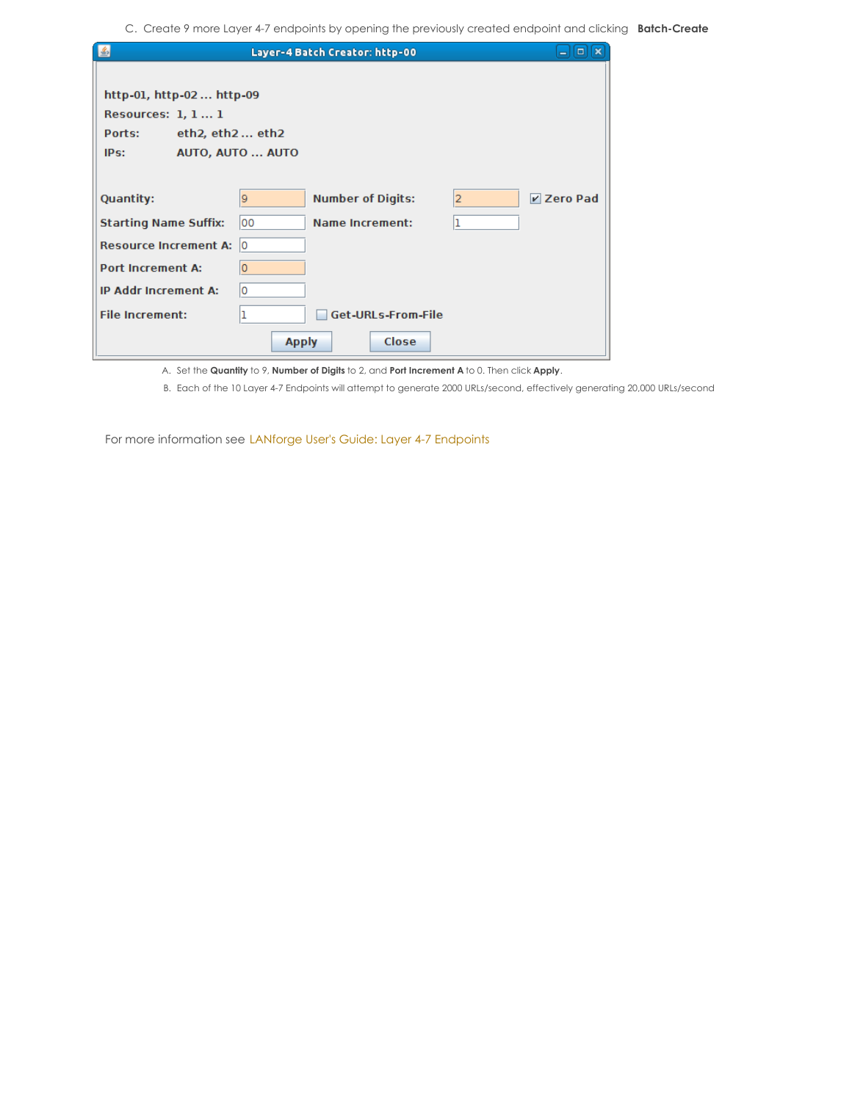C. Create 9 more Layer 4-7 endpoints by opening the previously created endpoint and clicking **Batch-Create**

| L                                                                                     |                  | Layer-4 Batch Creator: http-00 |   | $\boxed{\blacksquare}$<br>$\blacksquare$ |
|---------------------------------------------------------------------------------------|------------------|--------------------------------|---|------------------------------------------|
| http-01, http-02 http-09<br>Resources: $1, 11$<br>Ports:<br>eth2, $eth2$ eth2<br>IPs: | AUTO, AUTO  AUTO |                                |   |                                          |
| <b>Quantity:</b>                                                                      | 9                | <b>Number of Digits:</b>       | 2 | $V$ Zero Pad                             |
| <b>Starting Name Suffix:</b>                                                          | 100              | <b>Name Increment:</b>         |   |                                          |
| <b>Resource Increment A:</b>                                                          | 10               |                                |   |                                          |
| <b>Port Increment A:</b>                                                              | O                |                                |   |                                          |
| <b>IP Addr Increment A:</b>                                                           | 10               |                                |   |                                          |
| <b>File Increment:</b>                                                                |                  | Get-URLs-From-File             |   |                                          |
|                                                                                       | <b>Apply</b>     | Close                          |   |                                          |

A. Set the **Quantity** to 9, **Number of Digits** to 2, and **Port Increment A** to 0. Then click **Apply**.

B. Each of the 10 Layer 4-7 Endpoints will attempt to generate 2000 URLs/second, effectively generating 20,000 URLs/second

For more information see LANforge User's Guide: Layer 4-7 [Endpoints](http://www.candelatech.com/lfgui_ug.php#l4)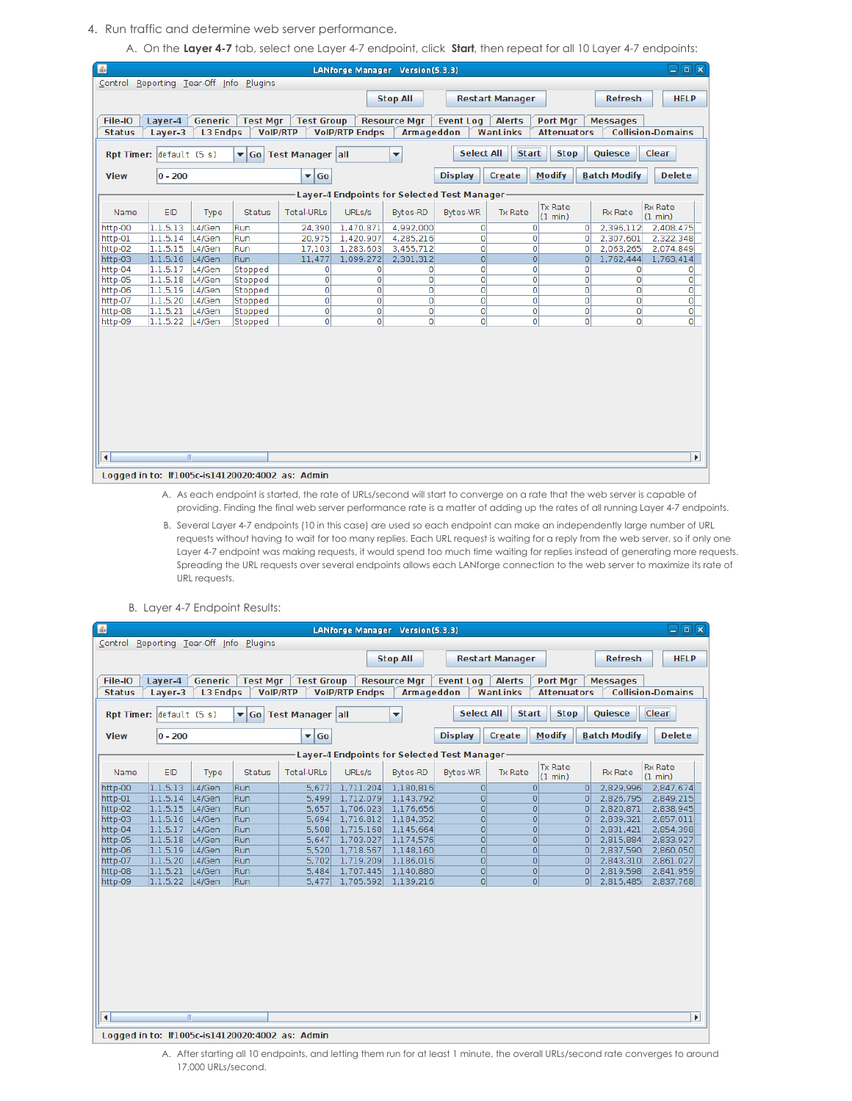- 4. Run traffic and determine web server performance.
	- A. On the **Layer 4-7** tab, select one Layer 4-7 endpoint, click **Start**, then repeat for all 10 Layer 4-7 endpoints:

| 图<br>$\Box$ e $\bm{x}$<br>LANforge Manager Version(5.3.3)                                                                                                               |                                                                                                                                                           |                  |                    |                                                 |                |                                             |                |                                             |                            |                                      |                           |
|-------------------------------------------------------------------------------------------------------------------------------------------------------------------------|-----------------------------------------------------------------------------------------------------------------------------------------------------------|------------------|--------------------|-------------------------------------------------|----------------|---------------------------------------------|----------------|---------------------------------------------|----------------------------|--------------------------------------|---------------------------|
|                                                                                                                                                                         | Control Reporting Tear-Off Info Plugins                                                                                                                   |                  |                    |                                                 |                |                                             |                |                                             |                            |                                      |                           |
|                                                                                                                                                                         | <b>Stop All</b><br><b>Refresh</b><br><b>HELP</b><br><b>Restart Manager</b>                                                                                |                  |                    |                                                 |                |                                             |                |                                             |                            |                                      |                           |
|                                                                                                                                                                         |                                                                                                                                                           |                  |                    |                                                 |                |                                             |                |                                             |                            |                                      |                           |
| Generic<br><b>Alerts</b><br>File-IO<br>Layer-4<br><b>Test Mgr</b><br><b>Test Group</b><br><b>Resource Mgr</b><br><b>Event Log</b><br><b>Port Mgr</b><br><b>Messages</b> |                                                                                                                                                           |                  |                    |                                                 |                |                                             |                |                                             |                            |                                      |                           |
| <b>Status</b>                                                                                                                                                           | <b>VoIP/RTP</b><br><b>VoIP/RTP Endps</b><br><b>Armageddon</b><br><b>Collision-Domains</b><br>Layer-3<br><b>L3 Endps</b><br>WanLinks<br><b>Attenuators</b> |                  |                    |                                                 |                |                                             |                |                                             |                            |                                      |                           |
|                                                                                                                                                                         |                                                                                                                                                           |                  |                    |                                                 |                |                                             |                |                                             |                            |                                      |                           |
|                                                                                                                                                                         | <b>Select All</b><br><b>Start</b><br><b>Stop</b><br><b>Quiesce</b><br>Clear<br>Rpt Timer: default (5 s)<br>▼ Go Test Manager all<br>$\blacktriangledown$  |                  |                    |                                                 |                |                                             |                |                                             |                            |                                      |                           |
| <b>View</b>                                                                                                                                                             | $0 - 200$                                                                                                                                                 |                  |                    | $\overline{\phantom{a}}$ Go                     |                |                                             | <b>Display</b> | <b>Modify</b><br>Create                     |                            | <b>Batch Modify</b><br><b>Delete</b> |                           |
|                                                                                                                                                                         |                                                                                                                                                           |                  |                    |                                                 |                | Layer-4 Endpoints for Selected Test Manager |                |                                             |                            |                                      |                           |
| Name                                                                                                                                                                    | <b>EID</b>                                                                                                                                                | Type             | <b>Status</b>      | <b>Total-URLs</b>                               | URLs/s         | <b>Bytes-RD</b>                             | Bytes-WR       | <b>Tx Rate</b><br><b>Tx Rate</b><br>(1 min) |                            | <b>Rx Rate</b>                       | <b>Rx Rate</b><br>(1 min) |
| http-00                                                                                                                                                                 | 1.1.5.13                                                                                                                                                  | L4/Gen           | Run                | 24,390                                          | 1,470.871      | 4,992,000                                   | 0              | $\Omega$                                    | 0                          | 2,396,112                            | 2,408,475                 |
| http-01                                                                                                                                                                 | 1.1.5.14                                                                                                                                                  | L4/Gen           | Run                | 20,975                                          | 1,420.907      | 4,285,216                                   | 0              | $\overline{0}$                              | $\mathbf 0$                | 2,307,601                            | 2,322,348                 |
| http-02                                                                                                                                                                 | 1.1.5.15                                                                                                                                                  | L4/Gen           | Run                | 17,103                                          | 1,283,603      | 3,455,712                                   | 0              | $\overline{0}$                              | 0                          | 2,063,265                            | 2,074,849                 |
| http-03                                                                                                                                                                 | 1.1.5.16                                                                                                                                                  | L4/Gen           | Run                | 11,477                                          | 1,099.272      | 2,301,312                                   | $\overline{0}$ | 0                                           | 0                          | 1,762,444                            | 1,763,414                 |
| http-04                                                                                                                                                                 | 1.1.5.17                                                                                                                                                  | L4/Gen           | Stopped            | 0                                               | 0              | 0                                           | 0              | $\overline{0}$<br>$\overline{0}$            | 0                          | $\circ$                              | 0                         |
| http-05<br>http-06                                                                                                                                                      | 1.1.5.18<br>1.1.5.19                                                                                                                                      | L4/Gen<br>L4/Gen | Stopped<br>Stopped | 0<br>$\overline{0}$                             | 0<br>O         | $\circ$<br>$\Omega$                         | O<br>O         | $\overline{0}$                              | $\mathbf 0$<br>$\mathbf 0$ | $\mathbf{0}$<br>$\circ$              | $\circ$<br>$\circ$        |
| http-07                                                                                                                                                                 | 1.1.5.20                                                                                                                                                  | L4/Gen           | Stopped            | $\circ$                                         | 0              | $\mathbf 0$                                 | O              | $\overline{0}$                              | $\circ$                    | $\circ$                              | $\circ$                   |
| http-08                                                                                                                                                                 | 1.1.5.21                                                                                                                                                  | L4/Gen           | Stopped            | 0                                               | 0              | $\circ$                                     | O              | $\overline{0}$                              | $\circ$                    | $\circ$                              | $\circ$                   |
| http-09                                                                                                                                                                 | 1.1.5.22                                                                                                                                                  | L4/Gen           | Stopped            | $\overline{0}$                                  | $\overline{0}$ | $\Omega$                                    | O              | $\Omega$                                    | $\Omega$                   | $\mathbf{0}$                         | $\Omega$                  |
|                                                                                                                                                                         |                                                                                                                                                           |                  |                    |                                                 |                |                                             |                |                                             |                            |                                      |                           |
|                                                                                                                                                                         |                                                                                                                                                           |                  |                    |                                                 |                |                                             |                |                                             |                            |                                      |                           |
|                                                                                                                                                                         |                                                                                                                                                           |                  |                    |                                                 |                |                                             |                |                                             |                            |                                      |                           |
|                                                                                                                                                                         |                                                                                                                                                           |                  |                    |                                                 |                |                                             |                |                                             |                            |                                      |                           |
|                                                                                                                                                                         |                                                                                                                                                           |                  |                    |                                                 |                |                                             |                |                                             |                            |                                      |                           |
|                                                                                                                                                                         |                                                                                                                                                           |                  |                    |                                                 |                |                                             |                |                                             |                            |                                      |                           |
|                                                                                                                                                                         |                                                                                                                                                           |                  |                    |                                                 |                |                                             |                |                                             |                            |                                      |                           |
|                                                                                                                                                                         |                                                                                                                                                           |                  |                    |                                                 |                |                                             |                |                                             |                            |                                      |                           |
|                                                                                                                                                                         |                                                                                                                                                           |                  |                    |                                                 |                |                                             |                |                                             |                            |                                      |                           |
|                                                                                                                                                                         |                                                                                                                                                           |                  |                    |                                                 |                |                                             |                |                                             |                            |                                      |                           |
|                                                                                                                                                                         |                                                                                                                                                           |                  |                    |                                                 |                |                                             |                |                                             |                            |                                      |                           |
| $\blacktriangleleft$                                                                                                                                                    |                                                                                                                                                           | $\mathbb{I}$     |                    |                                                 |                |                                             |                |                                             |                            |                                      | $\blacktriangleright$     |
|                                                                                                                                                                         |                                                                                                                                                           |                  |                    | Logged in to: If1005c-is14120020:4002 as: Admin |                |                                             |                |                                             |                            |                                      |                           |

- A. As each endpoint is started, the rate of URLs/second will start to converge on a rate that the web server is capable of providing. Finding the final web server performance rate is a matter of adding up the rates of all running Layer 4-7 endpoints.
- B. Several Layer 4-7 endpoints (10 in this case) are used so each endpoint can make an independently large number of URL requests without having to wait for too many replies. Each URL request is waiting for a reply from the web server, so if only one Layer 4-7 endpoint was making requests, it would spend too much time waiting for replies instead of generating more requests. Spreading the URL requests over several endpoints allows each LANforge connection to the web server to maximize its rate of URL requests.

| L                    | ⊟<br>同区<br>LANforge Manager Version(5.3.3)                                                                                                                                                |                  |                                         |                                                 |                                             |                        |                      |                                  |                      |                        |                        |
|----------------------|-------------------------------------------------------------------------------------------------------------------------------------------------------------------------------------------|------------------|-----------------------------------------|-------------------------------------------------|---------------------------------------------|------------------------|----------------------|----------------------------------|----------------------|------------------------|------------------------|
|                      |                                                                                                                                                                                           |                  | Control Reporting Tear-Off Info Plugins |                                                 |                                             |                        |                      |                                  |                      |                        |                        |
|                      |                                                                                                                                                                                           |                  |                                         |                                                 |                                             | <b>Stop All</b>        |                      | <b>Restart Manager</b>           |                      | <b>Refresh</b>         | <b>HELP</b>            |
|                      |                                                                                                                                                                                           |                  |                                         |                                                 |                                             |                        |                      |                                  |                      |                        |                        |
| File-IO              | Layer-4                                                                                                                                                                                   | Generic          | <b>Test Mgr</b>                         | <b>Test Group</b>                               |                                             | <b>Resource Mgr</b>    | <b>Event Log</b>     | <b>Alerts</b><br>Port Mgr        |                      | <b>Messages</b>        |                        |
| <b>Status</b>        | <b>L3 Endps</b><br><b>VoIP/RTP</b><br><b>VolP/RTP Endps</b><br><b>Armageddon</b><br>WanLinks<br><b>Collision-Domains</b><br>Laver-3<br><b>Attenuators</b>                                 |                  |                                         |                                                 |                                             |                        |                      |                                  |                      |                        |                        |
|                      |                                                                                                                                                                                           |                  |                                         |                                                 |                                             |                        |                      |                                  |                      |                        |                        |
|                      | <b>Select All</b><br><b>Start</b><br><b>Stop</b><br>Quiesce<br><b>Clear</b><br>Rpt Timer: default (5 s)<br><b>Test Manager all</b><br>$\overline{\phantom{0}}$<br>$\blacktriangledown$ Go |                  |                                         |                                                 |                                             |                        |                      |                                  |                      |                        |                        |
| <b>View</b>          | $ 0 - 200$                                                                                                                                                                                |                  |                                         | Go<br>▾                                         |                                             |                        | <b>Display</b>       | <b>Modify</b><br>Create          |                      | <b>Batch Modify</b>    | <b>Delete</b>          |
|                      |                                                                                                                                                                                           |                  |                                         |                                                 | Layer-4 Endpoints for Selected Test Manager |                        |                      |                                  |                      |                        |                        |
| Name                 | EID                                                                                                                                                                                       | Type             | <b>Status</b>                           | <b>Total-URLs</b>                               | URLs/s                                      | Bytes-RD               | Bytes-WR             | <b>Tx Rate</b><br><b>Tx Rate</b> |                      | <b>Rx Rate</b>         | <b>Rx Rate</b>         |
|                      |                                                                                                                                                                                           |                  |                                         |                                                 |                                             |                        |                      | (1 min)                          |                      |                        | (1 min)                |
| http-00<br>http-01   | 1.1.5.13<br>1.1.5.14                                                                                                                                                                      | L4/Gen<br>L4/Gen | Run<br>Run                              | 5,677<br>5,499                                  | 1,711.204<br>1,712.079                      | 1,180,816<br>1,143,792 | $\Omega$<br>$\Omega$ | $\circ$<br>$\circ$               | $\Omega$<br>$\Omega$ | 2,829,996<br>2,826,795 | 2,847,674<br>2,849,215 |
| http-02              | 1.1.5.15                                                                                                                                                                                  | L4/Gen           | Run                                     | 5,657                                           | 1,706.023                                   | 1,176,656              | $\Omega$             | $\circ$                          | $\circ$              | 2,820,871              | 2,838,945              |
| http-03              | 1.1.5.16                                                                                                                                                                                  | L4/Gen           | <b>Run</b>                              | 5,694                                           | 1,716.812                                   | 1,184,352              | $\Omega$             | $\circ$                          | 0                    | 2,839,321              | 2,857,011              |
| http-04              | 1.1.5.17                                                                                                                                                                                  | L4/Gen           | Run                                     | 5,508                                           | 1,715.168                                   | 1,145,664              | $\overline{0}$       | $\Omega$                         | $\overline{O}$       | 2,831,421              | 2,854,398              |
| http-05              | 1.1.5.18                                                                                                                                                                                  | L4/Gen           | Run                                     | 5,647                                           | 1,703.027                                   | 1,174,576              | $\circ$              | $\circ$                          | $\circ$              | 2,815,884              | 2,833,927              |
| http-06              | 1.1.5.19                                                                                                                                                                                  | L4/Gen           | Run                                     | 5,520                                           | 1,718.567                                   | 1,148,160              | $\overline{0}$       | $\circ$                          | $\Omega$             | 2,837,590              | 2,860,050              |
| http-07              | 1.1.5.20                                                                                                                                                                                  | L4/Gen           | Run                                     | 5,702                                           | 1,719.209                                   | 1,186,016              | $\circ$              | $\circ$                          | $\Omega$             | 2,843,310              | 2,861,027              |
| http-08              | 1.1.5.21                                                                                                                                                                                  | L4/Gen           | <b>Run</b>                              | 5.484                                           | 1,707.445                                   | 1,140,880              | $\circ$              | $\Omega$                         | 0                    | 2,819,598              | 2,841,959              |
| http-09              | 1.1.5.22                                                                                                                                                                                  | L4/Gen           | Run                                     | 5.477                                           | 1,705.592                                   | 1,139,216              | $\overline{0}$       | 0                                | $\overline{0}$       | 2,815,485              | 2,837,768              |
|                      |                                                                                                                                                                                           |                  |                                         |                                                 |                                             |                        |                      |                                  |                      |                        |                        |
|                      |                                                                                                                                                                                           |                  |                                         |                                                 |                                             |                        |                      |                                  |                      |                        |                        |
|                      |                                                                                                                                                                                           |                  |                                         |                                                 |                                             |                        |                      |                                  |                      |                        |                        |
|                      |                                                                                                                                                                                           |                  |                                         |                                                 |                                             |                        |                      |                                  |                      |                        |                        |
|                      |                                                                                                                                                                                           |                  |                                         |                                                 |                                             |                        |                      |                                  |                      |                        |                        |
|                      |                                                                                                                                                                                           |                  |                                         |                                                 |                                             |                        |                      |                                  |                      |                        |                        |
|                      |                                                                                                                                                                                           |                  |                                         |                                                 |                                             |                        |                      |                                  |                      |                        |                        |
|                      |                                                                                                                                                                                           |                  |                                         |                                                 |                                             |                        |                      |                                  |                      |                        |                        |
|                      |                                                                                                                                                                                           |                  |                                         |                                                 |                                             |                        |                      |                                  |                      |                        |                        |
|                      |                                                                                                                                                                                           |                  |                                         |                                                 |                                             |                        |                      |                                  |                      |                        |                        |
|                      |                                                                                                                                                                                           |                  |                                         |                                                 |                                             |                        |                      |                                  |                      |                        |                        |
| $\blacktriangleleft$ |                                                                                                                                                                                           | W.               |                                         |                                                 |                                             |                        |                      |                                  |                      |                        | $\blacktriangleright$  |
|                      |                                                                                                                                                                                           |                  |                                         |                                                 |                                             |                        |                      |                                  |                      |                        |                        |
|                      |                                                                                                                                                                                           |                  |                                         | Logged in to: If1005c-is14120020:4002 as: Admin |                                             |                        |                      |                                  |                      |                        |                        |

B. Layer 4-7 Endpoint Results:

A. After starting all 10 endpoints, and letting them run for at least 1 minute, the overall URLs/second rate converges to around 17,000 URLs/second.